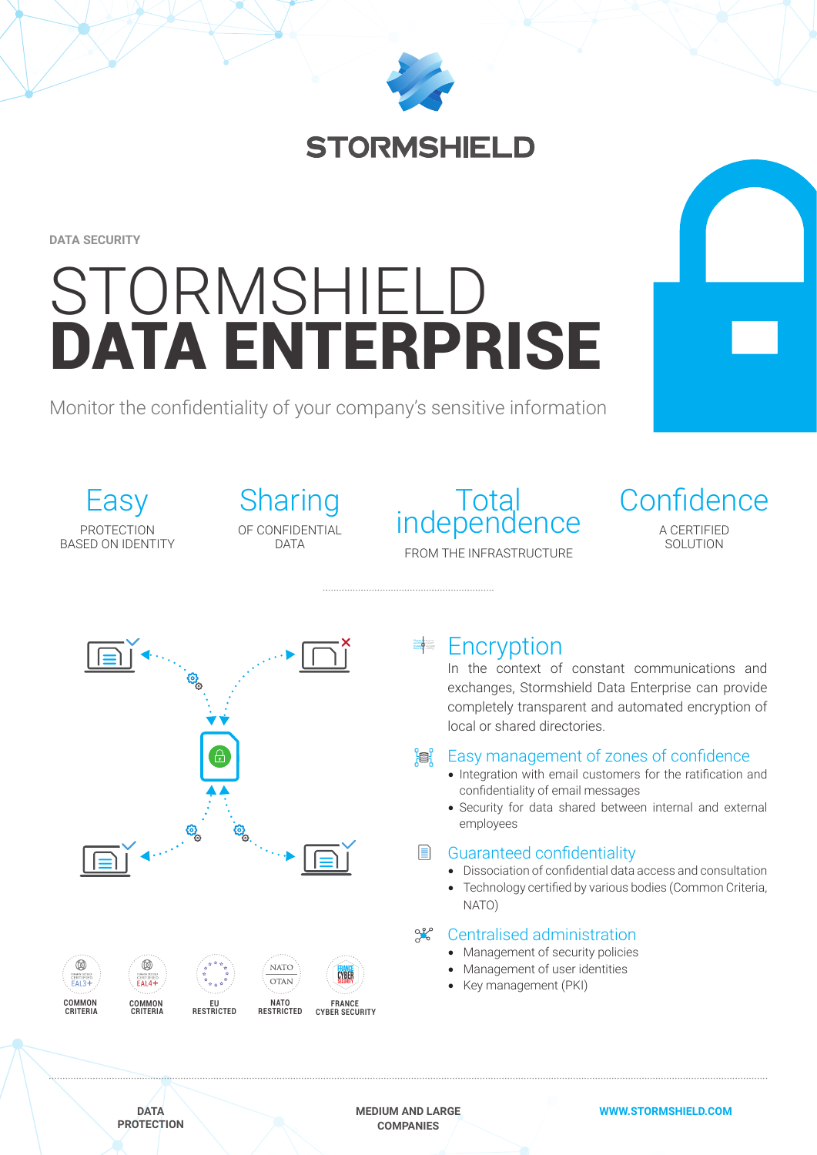

**STORMSHIELD** 

**DATA SECURITY**

# STORMSHIELD DATA ENTERPRISE

Monitor the confidentiality of your company's sensitive information

Easy PROTECTION BASED ON IDENTITY **Sharing** OF CONFIDENTIAL DATA

# Total<br>independence FROM THE INFRASTRUCTURE

**Confidence** A CERTIFIED SOLUTION



## ≢ Encryption

In the context of constant communications and exchanges, Stormshield Data Enterprise can provide completely transparent and automated encryption of local or shared directories.

#### e: Easy management of zones of confidence

- Integration with email customers for the ratification and confidentiality of email messages
- Security for data shared between internal and external employees

### Guaranteed confidentiality

- Dissociation of confidential data access and consultation
- Technology certified by various bodies (Common Criteria, NATO)

#### $Q_{\alpha}^{\rho}$ Centralised administration

- Management of security policies
- Management of user identities
- Key management (PKI)

**DATA PROTECTION** **MEDIUM AND LARGE COMPANIES**